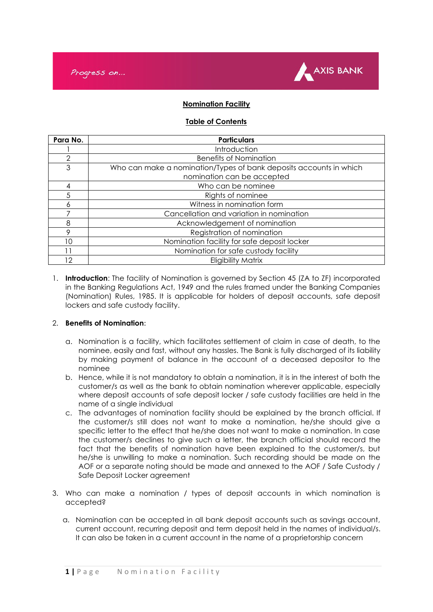



# **Nomination Facility**

### **Table of Contents**

| Para No. | <b>Particulars</b>                                                 |  |
|----------|--------------------------------------------------------------------|--|
|          | Introduction                                                       |  |
| 2        | <b>Benefits of Nomination</b>                                      |  |
| 3        | Who can make a nomination/Types of bank deposits accounts in which |  |
|          | nomination can be accepted                                         |  |
| 4        | Who can be nominee                                                 |  |
| 5        | Rights of nominee                                                  |  |
| 6        | Witness in nomination form                                         |  |
| 7        | Cancellation and variation in nomination                           |  |
| 8        | Acknowledgement of nomination                                      |  |
| 9        | Registration of nomination                                         |  |
| 10       | Nomination facility for safe deposit locker                        |  |
|          | Nomination for safe custody facility                               |  |
| 12       | <b>Eligibility Matrix</b>                                          |  |

1. **Introduction**: The facility of Nomination is governed by Section 45 (ZA to ZF) incorporated in the Banking Regulations Act, 1949 and the rules framed under the Banking Companies (Nomination) Rules, 1985. It is applicable for holders of deposit accounts, safe deposit lockers and safe custody facility.

#### 2. **Benefits of Nomination**:

- a. Nomination is a facility, which facilitates settlement of claim in case of death, to the nominee, easily and fast, without any hassles. The Bank is fully discharged of its liability by making payment of balance in the account of a deceased depositor to the nominee
- b. Hence, while it is not mandatory to obtain a nomination, it is in the interest of both the customer/s as well as the bank to obtain nomination wherever applicable, especially where deposit accounts of safe deposit locker / safe custody facilities are held in the name of a single individual
- c. The advantages of nomination facility should be explained by the branch official. If the customer/s still does not want to make a nomination, he/she should give a specific letter to the effect that he/she does not want to make a nomination. In case the customer/s declines to give such a letter, the branch official should record the fact that the benefits of nomination have been explained to the customer/s, but he/she is unwilling to make a nomination. Such recording should be made on the AOF or a separate noting should be made and annexed to the AOF / Safe Custody / Safe Deposit Locker agreement
- 3. Who can make a nomination / types of deposit accounts in which nomination is accepted?
	- a. Nomination can be accepted in all bank deposit accounts such as savings account, current account, recurring deposit and term deposit held in the names of individual/s. It can also be taken in a current account in the name of a proprietorship concern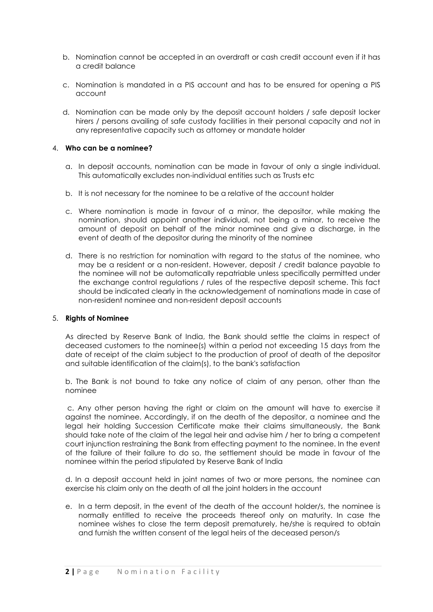- b. Nomination cannot be accepted in an overdraft or cash credit account even if it has a credit balance
- c. Nomination is mandated in a PIS account and has to be ensured for opening a PIS account
- d. Nomination can be made only by the deposit account holders / safe deposit locker hirers / persons availing of safe custody facilities in their personal capacity and not in any representative capacity such as attorney or mandate holder

### 4. **Who can be a nominee?**

- a. In deposit accounts, nomination can be made in favour of only a single individual. This automatically excludes non-individual entities such as Trusts etc
- b. It is not necessary for the nominee to be a relative of the account holder
- c. Where nomination is made in favour of a minor, the depositor, while making the nomination, should appoint another individual, not being a minor, to receive the amount of deposit on behalf of the minor nominee and give a discharge, in the event of death of the depositor during the minority of the nominee
- d. There is no restriction for nomination with regard to the status of the nominee, who may be a resident or a non-resident. However, deposit / credit balance payable to the nominee will not be automatically repatriable unless specifically permitted under the exchange control regulations / rules of the respective deposit scheme. This fact should be indicated clearly in the acknowledgement of nominations made in case of non-resident nominee and non-resident deposit accounts

#### 5. **Rights of Nominee**

As directed by Reserve Bank of India, the Bank should settle the claims in respect of deceased customers to the nominee(s) within a period not exceeding 15 days from the date of receipt of the claim subject to the production of proof of death of the depositor and suitable identification of the claim(s), to the bank's satisfaction

b. The Bank is not bound to take any notice of claim of any person, other than the nominee

c. Any other person having the right or claim on the amount will have to exercise it against the nominee. Accordingly, if on the death of the depositor, a nominee and the legal heir holding Succession Certificate make their claims simultaneously, the Bank should take note of the claim of the legal heir and advise him / her to bring a competent court injunction restraining the Bank from effecting payment to the nominee. In the event of the failure of their failure to do so, the settlement should be made in favour of the nominee within the period stipulated by Reserve Bank of India

d. In a deposit account held in joint names of two or more persons, the nominee can exercise his claim only on the death of all the joint holders in the account

e. In a term deposit, in the event of the death of the account holder/s, the nominee is normally entitled to receive the proceeds thereof only on maturity. In case the nominee wishes to close the term deposit prematurely, he/she is required to obtain and furnish the written consent of the legal heirs of the deceased person/s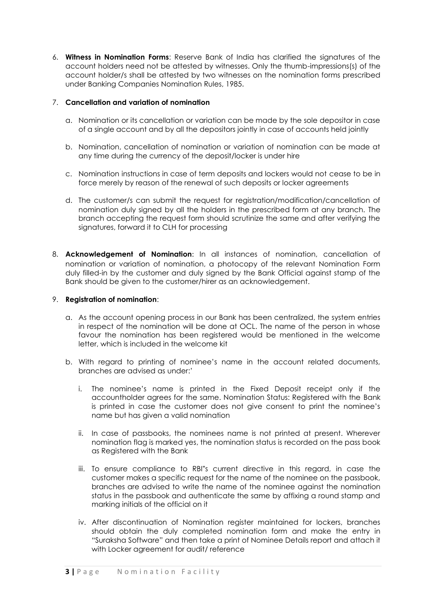6. **Witness in Nomination Forms**: Reserve Bank of India has clarified the signatures of the account holders need not be attested by witnesses. Only the thumb-impressions(s) of the account holder/s shall be attested by two witnesses on the nomination forms prescribed under Banking Companies Nomination Rules, 1985.

# 7. **Cancellation and variation of nomination**

- a. Nomination or its cancellation or variation can be made by the sole depositor in case of a single account and by all the depositors jointly in case of accounts held jointly
- b. Nomination, cancellation of nomination or variation of nomination can be made at any time during the currency of the deposit/locker is under hire
- c. Nomination instructions in case of term deposits and lockers would not cease to be in force merely by reason of the renewal of such deposits or locker agreements
- d. The customer/s can submit the request for registration/modification/cancellation of nomination duly signed by all the holders in the prescribed form at any branch. The branch accepting the request form should scrutinize the same and after verifying the signatures, forward it to CLH for processing
- 8. **Acknowledgement of Nomination**: In all instances of nomination, cancellation of nomination or variation of nomination, a photocopy of the relevant Nomination Form duly filled-in by the customer and duly signed by the Bank Official against stamp of the Bank should be given to the customer/hirer as an acknowledgement.

# 9. **Registration of nomination**:

- a. As the account opening process in our Bank has been centralized, the system entries in respect of the nomination will be done at OCL. The name of the person in whose favour the nomination has been registered would be mentioned in the welcome letter, which is included in the welcome kit
- b. With regard to printing of nominee's name in the account related documents, branches are advised as under:'
	- i. The nominee's name is printed in the Fixed Deposit receipt only if the accountholder agrees for the same. Nomination Status: Registered with the Bank is printed in case the customer does not give consent to print the nominee's name but has given a valid nomination
	- ii. In case of passbooks, the nominees name is not printed at present. Wherever nomination flag is marked yes, the nomination status is recorded on the pass book as Registered with the Bank
	- iii. To ensure compliance to RBI"s current directive in this regard, in case the customer makes a specific request for the name of the nominee on the passbook, branches are advised to write the name of the nominee against the nomination status in the passbook and authenticate the same by affixing a round stamp and marking initials of the official on it
	- iv. After discontinuation of Nomination register maintained for lockers, branches should obtain the duly completed nomination form and make the entry in "Suraksha Software" and then take a print of Nominee Details report and attach it with Locker agreement for audit/ reference